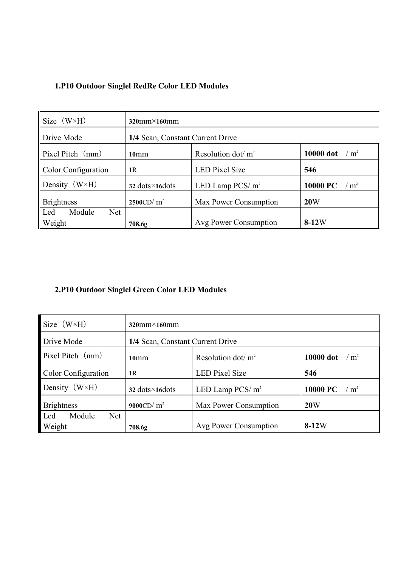| 1.P10 Outdoor Singlel RedRe Color LED Modules |  |  |  |
|-----------------------------------------------|--|--|--|
|-----------------------------------------------|--|--|--|

| $\left  \right $ Size $(W \times H)$     | $320$ mm $\times$ 160mm                 |                       |                                 |
|------------------------------------------|-----------------------------------------|-----------------------|---------------------------------|
| Drive Mode                               | 1/4 Scan, Constant Current Drive        |                       |                                 |
| $\mathbf{P}$ Pixel Pitch $\mathbf{(mm)}$ | 10 <sub>mm</sub>                        | Resolution dot/ $m2$  | 10000 dot<br>m <sup>2</sup>     |
| Color Configuration                      | 1R                                      | <b>LED Pixel Size</b> | 546                             |
| Density $(W \times H)$                   | $32 \text{ dots} \times 16 \text{dots}$ | LED Lamp PCS/ $m2$    | 10000 PC<br>$\rm ^{\prime}~m^2$ |
| <b>Brightness</b>                        | 2500CD/m <sup>2</sup>                   | Max Power Consumption | 20W                             |
| Module<br><b>Net</b><br>$\mathsf{L}$ ed  |                                         |                       |                                 |
| <b>Weight</b>                            | 708.6g                                  | Avg Power Consumption | $8-12W$                         |

## **2.P10 Outdoor Singlel Green Color LED Modules**

| Size (W×H)                            | $320$ mm $\times$ 160mm                 |                       |                               |
|---------------------------------------|-----------------------------------------|-----------------------|-------------------------------|
| Drive Mode                            | 1/4 Scan, Constant Current Drive        |                       |                               |
| $\parallel$ Pixel Pitch $\langle$ mm) | 10 <sub>mm</sub>                        | Resolution dot/ $m2$  | 10000 dot<br>$\rm \prime~m^2$ |
| Color Configuration                   | 1R                                      | <b>LED Pixel Size</b> | 546                           |
| Density $(W \times H)$                | $32 \text{ dots} \times 16 \text{dots}$ | LED Lamp PCS/ $m^2$   | 10000 PC<br>$\frac{m^2}{m^2}$ |
| <b>Brightness</b>                     | 9000CD/m <sup>2</sup>                   | Max Power Consumption | 20W                           |
| Led<br>Module<br><b>Net</b><br>Weight | 708.6g                                  | Avg Power Consumption | $8-12W$                       |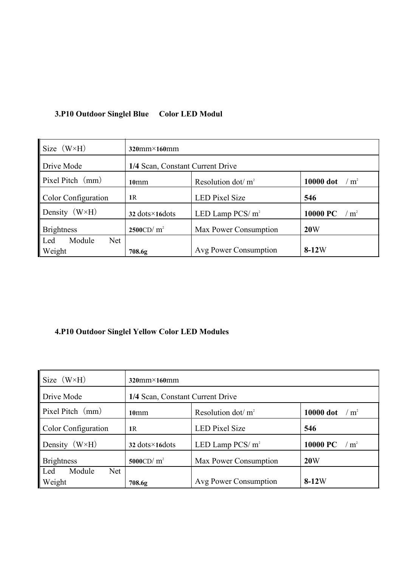## **3.P10 Outdoor Singlel Blue Color LED Modul**

| $\left  \right.$ Size $(W \times H)$ | $320$ mm $\times$ 160mm                 |                       |                                |
|--------------------------------------|-----------------------------------------|-----------------------|--------------------------------|
| Drive Mode                           | 1/4 Scan, Constant Current Drive        |                       |                                |
| $\vert$ Pixel Pitch $\vert$ (mm)     | 10 <sub>mm</sub>                        | Resolution dot/ $m2$  | 10000 dot<br>$\frac{m^2}{m^2}$ |
| Color Configuration                  | 1R                                      | <b>LED Pixel Size</b> | 546                            |
| Density $(W \times H)$               | $32 \text{ dots} \times 16 \text{dots}$ | LED Lamp PCS/ $m2$    | 10000 PC<br>$\rm \prime~m^2$   |
| <b>Brightness</b>                    | 2500CD/m <sup>2</sup>                   | Max Power Consumption | 20W                            |
| Module<br><b>Net</b><br>l Led        |                                         |                       |                                |
| <b>Weight</b>                        | 708.6g                                  | Avg Power Consumption | $8-12W$                        |

## **4.P10 Outdoor Singlel Yellow Color LED Modules**

| Size $(W \times H)$         | $320$ mm $\times$ 160mm          |                       |                                |
|-----------------------------|----------------------------------|-----------------------|--------------------------------|
| Drive Mode                  | 1/4 Scan, Constant Current Drive |                       |                                |
| Pixel Pitch (mm)            | 10 <sub>mm</sub>                 | Resolution dot/ $m2$  | 10000 dot<br>$\frac{m^2}{m^2}$ |
| Color Configuration         | 1R                               | <b>LED</b> Pixel Size | 546                            |
| Density $(W \times H)$      | 32 dots $\times$ 16 dots         | LED Lamp PCS/ $m2$    | 10000 PC<br>/m <sup>2</sup>    |
| <b>Brightness</b>           | 5000CD/m <sup>2</sup>            | Max Power Consumption | 20W                            |
| Module<br><b>Net</b><br>Led |                                  |                       |                                |
| Weight                      | 708.6g                           | Avg Power Consumption | $8-12W$                        |